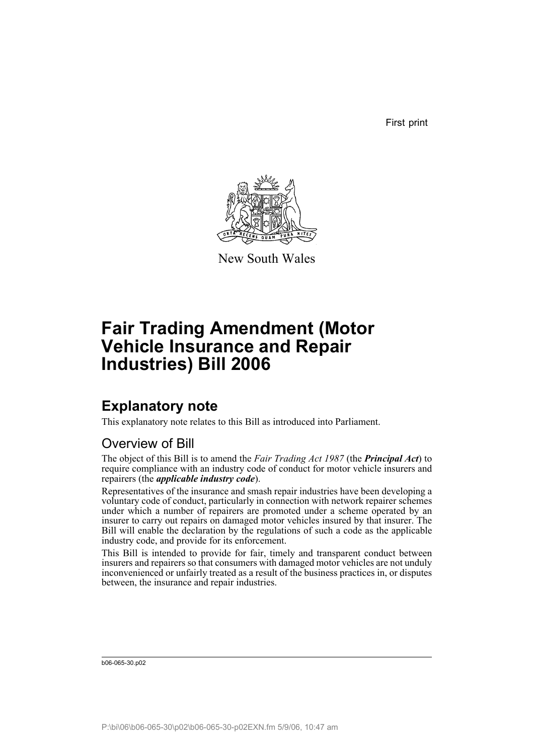First print



New South Wales

# **Fair Trading Amendment (Motor Vehicle Insurance and Repair Industries) Bill 2006**

## **Explanatory note**

This explanatory note relates to this Bill as introduced into Parliament.

## Overview of Bill

The object of this Bill is to amend the *Fair Trading Act 1987* (the *Principal Act*) to require compliance with an industry code of conduct for motor vehicle insurers and repairers (the *applicable industry code*).

Representatives of the insurance and smash repair industries have been developing a voluntary code of conduct, particularly in connection with network repairer schemes under which a number of repairers are promoted under a scheme operated by an insurer to carry out repairs on damaged motor vehicles insured by that insurer. The Bill will enable the declaration by the regulations of such a code as the applicable industry code, and provide for its enforcement.

This Bill is intended to provide for fair, timely and transparent conduct between insurers and repairers so that consumers with damaged motor vehicles are not unduly inconvenienced or unfairly treated as a result of the business practices in, or disputes between, the insurance and repair industries.

b06-065-30.p02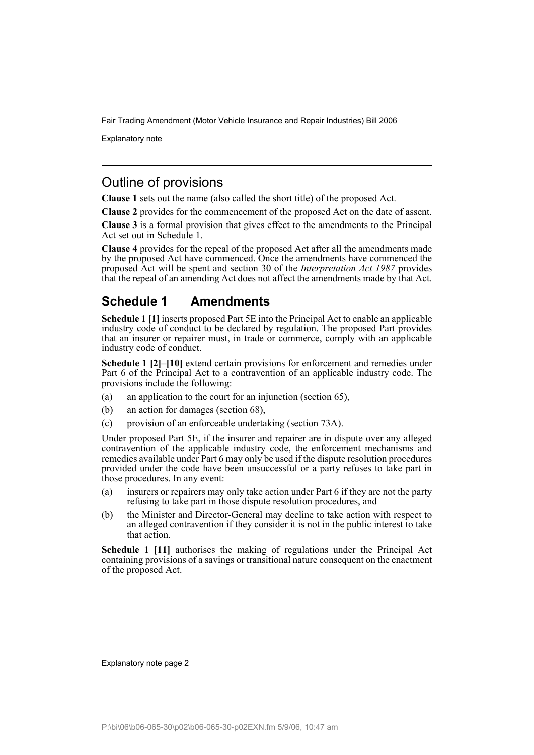Explanatory note

### Outline of provisions

**Clause 1** sets out the name (also called the short title) of the proposed Act.

**Clause 2** provides for the commencement of the proposed Act on the date of assent.

**Clause 3** is a formal provision that gives effect to the amendments to the Principal Act set out in Schedule 1.

**Clause 4** provides for the repeal of the proposed Act after all the amendments made by the proposed Act have commenced. Once the amendments have commenced the proposed Act will be spent and section 30 of the *Interpretation Act 1987* provides that the repeal of an amending Act does not affect the amendments made by that Act.

### **Schedule 1 Amendments**

**Schedule 1 [1]** inserts proposed Part 5E into the Principal Act to enable an applicable industry code of conduct to be declared by regulation. The proposed Part provides that an insurer or repairer must, in trade or commerce, comply with an applicable industry code of conduct.

**Schedule 1 [2]–[10]** extend certain provisions for enforcement and remedies under Part 6 of the Principal Act to a contravention of an applicable industry code. The provisions include the following:

- (a) an application to the court for an injunction (section 65),
- (b) an action for damages (section 68),
- (c) provision of an enforceable undertaking (section 73A).

Under proposed Part 5E, if the insurer and repairer are in dispute over any alleged contravention of the applicable industry code, the enforcement mechanisms and remedies available under Part 6 may only be used if the dispute resolution procedures provided under the code have been unsuccessful or a party refuses to take part in those procedures. In any event:

- (a) insurers or repairers may only take action under Part 6 if they are not the party refusing to take part in those dispute resolution procedures, and
- (b) the Minister and Director-General may decline to take action with respect to an alleged contravention if they consider it is not in the public interest to take that action.

**Schedule 1 [11]** authorises the making of regulations under the Principal Act containing provisions of a savings or transitional nature consequent on the enactment of the proposed Act.

Explanatory note page 2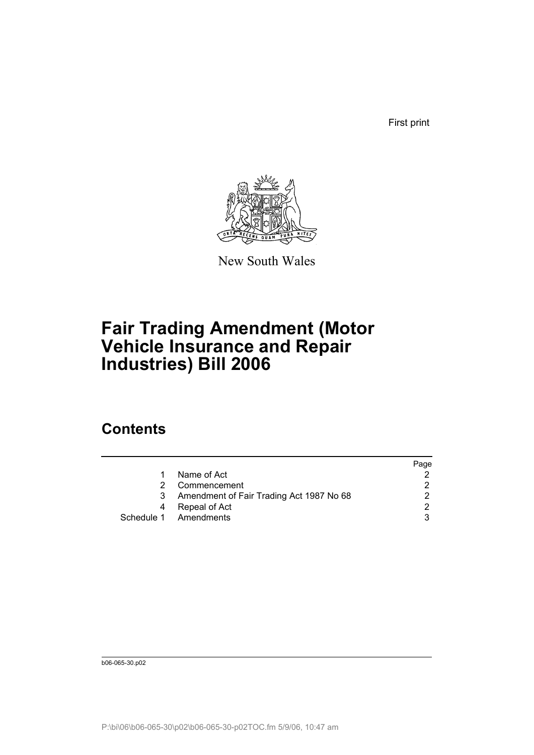First print



New South Wales

## **Fair Trading Amendment (Motor Vehicle Insurance and Repair Industries) Bill 2006**

## **Contents**

|   |                                          | Page |
|---|------------------------------------------|------|
|   | Name of Act                              |      |
|   | Commencement                             | 2    |
| 3 | Amendment of Fair Trading Act 1987 No 68 | 2.   |
|   | Repeal of Act                            | 2    |
|   | Schedule 1 Amendments                    | 3    |

b06-065-30.p02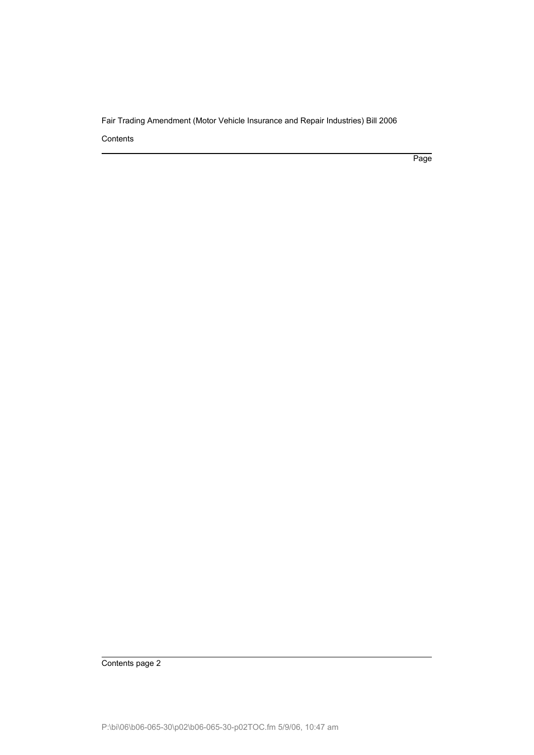Page

Contents page 2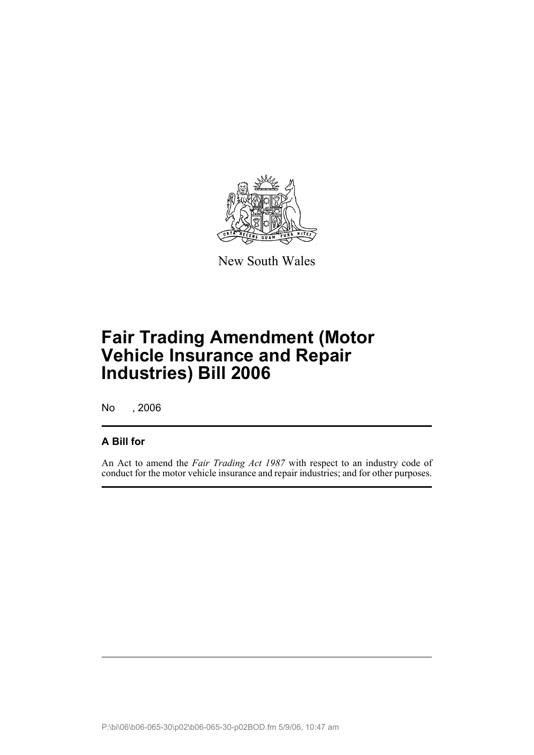

New South Wales

# **Fair Trading Amendment (Motor Vehicle Insurance and Repair Industries) Bill 2006**

No , 2006

#### **A Bill for**

An Act to amend the *Fair Trading Act 1987* with respect to an industry code of conduct for the motor vehicle insurance and repair industries; and for other purposes.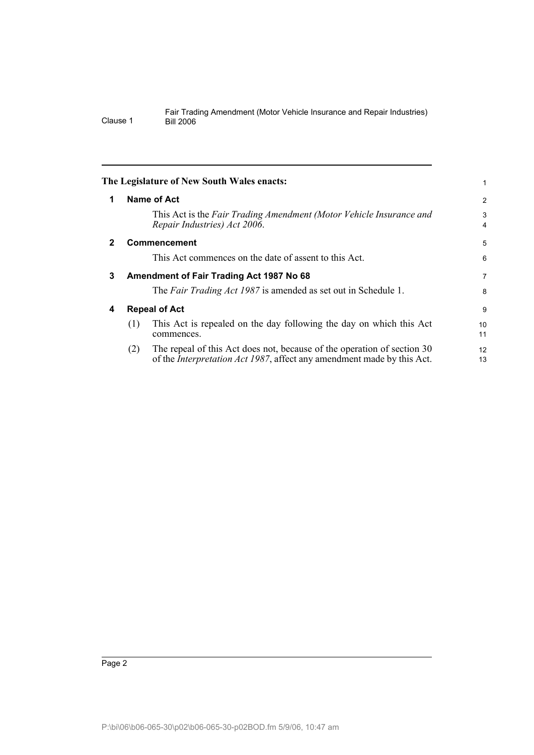<span id="page-5-3"></span><span id="page-5-2"></span><span id="page-5-1"></span><span id="page-5-0"></span>

|              |     | The Legislature of New South Wales enacts:                                                                                                                | 1              |
|--------------|-----|-----------------------------------------------------------------------------------------------------------------------------------------------------------|----------------|
| 1            |     | Name of Act                                                                                                                                               | $\overline{2}$ |
|              |     | This Act is the Fair Trading Amendment (Motor Vehicle Insurance and<br>Repair Industries) Act 2006.                                                       | 3<br>4         |
| $\mathbf{2}$ |     | <b>Commencement</b>                                                                                                                                       | 5              |
|              |     | This Act commences on the date of assent to this Act.                                                                                                     | 6              |
| 3            |     | <b>Amendment of Fair Trading Act 1987 No 68</b>                                                                                                           | $\overline{7}$ |
|              |     | The Fair Trading Act 1987 is amended as set out in Schedule 1.                                                                                            | 8              |
| 4            |     | <b>Repeal of Act</b>                                                                                                                                      | 9              |
|              | (1) | This Act is repealed on the day following the day on which this Act<br>commences.                                                                         | 10<br>11       |
|              | (2) | The repeal of this Act does not, because of the operation of section 30<br>of the <i>Interpretation Act 1987</i> , affect any amendment made by this Act. | 12<br>13       |
|              |     |                                                                                                                                                           |                |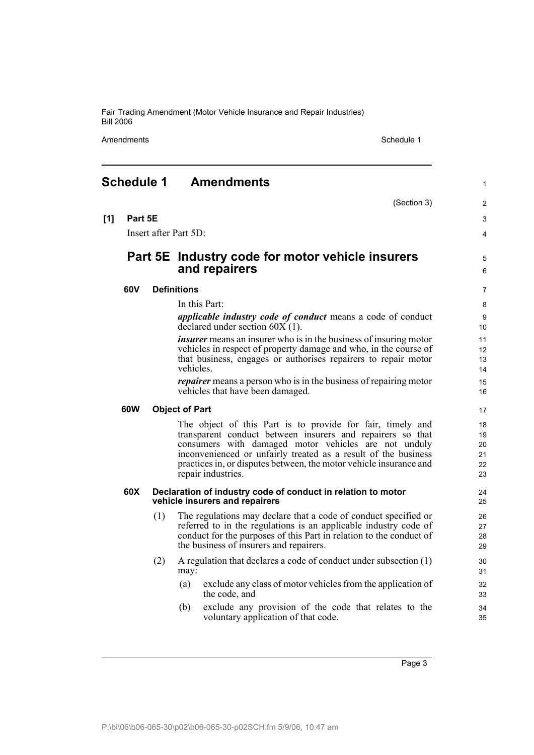Amendments Schedule 1

<span id="page-6-0"></span>

| <b>Schedule 1</b> |         |     | <b>Amendments</b>                                                                                                                                                                                                                                                                                                                              | $\mathbf{1}$                     |
|-------------------|---------|-----|------------------------------------------------------------------------------------------------------------------------------------------------------------------------------------------------------------------------------------------------------------------------------------------------------------------------------------------------|----------------------------------|
|                   |         |     |                                                                                                                                                                                                                                                                                                                                                | (Section 3)<br>2                 |
| [1]               | Part 5E |     |                                                                                                                                                                                                                                                                                                                                                | 3                                |
|                   |         |     | Insert after Part 5D:                                                                                                                                                                                                                                                                                                                          | 4                                |
|                   |         |     | Part 5E Industry code for motor vehicle insurers<br>and repairers                                                                                                                                                                                                                                                                              | 5<br>6                           |
|                   | 60V     |     | <b>Definitions</b>                                                                                                                                                                                                                                                                                                                             | $\overline{7}$                   |
|                   |         |     | In this Part:                                                                                                                                                                                                                                                                                                                                  | 8                                |
|                   |         |     | <i>applicable industry code of conduct</i> means a code of conduct<br>declared under section $60X(1)$ .                                                                                                                                                                                                                                        | 9<br>10                          |
|                   |         |     | insurer means an insurer who is in the business of insuring motor<br>vehicles in respect of property damage and who, in the course of<br>that business, engages or authorises repairers to repair motor<br>vehicles.                                                                                                                           | 11<br>12<br>13<br>14             |
|                   |         |     | <i>repairer</i> means a person who is in the business of repairing motor<br>vehicles that have been damaged.                                                                                                                                                                                                                                   | 15<br>16                         |
|                   | 60W     |     | <b>Object of Part</b>                                                                                                                                                                                                                                                                                                                          | 17                               |
|                   |         |     | The object of this Part is to provide for fair, timely and<br>transparent conduct between insurers and repairers so that<br>consumers with damaged motor vehicles are not unduly<br>inconvenienced or unfairly treated as a result of the business<br>practices in, or disputes between, the motor vehicle insurance and<br>repair industries. | 18<br>19<br>20<br>21<br>22<br>23 |
|                   | 60X     |     | Declaration of industry code of conduct in relation to motor<br>vehicle insurers and repairers                                                                                                                                                                                                                                                 | 24<br>25                         |
|                   |         | (1) | The regulations may declare that a code of conduct specified or<br>referred to in the regulations is an applicable industry code of<br>conduct for the purposes of this Part in relation to the conduct of<br>the business of insurers and repairers.                                                                                          | 26<br>27<br>28<br>29             |
|                   |         | (2) | A regulation that declares a code of conduct under subsection $(1)$<br>may:                                                                                                                                                                                                                                                                    | 30<br>31                         |
|                   |         |     | exclude any class of motor vehicles from the application of<br>(a)<br>the code, and                                                                                                                                                                                                                                                            | 32<br>33                         |
|                   |         |     | exclude any provision of the code that relates to the<br>(b)<br>voluntary application of that code.                                                                                                                                                                                                                                            | 34<br>35                         |

Page 3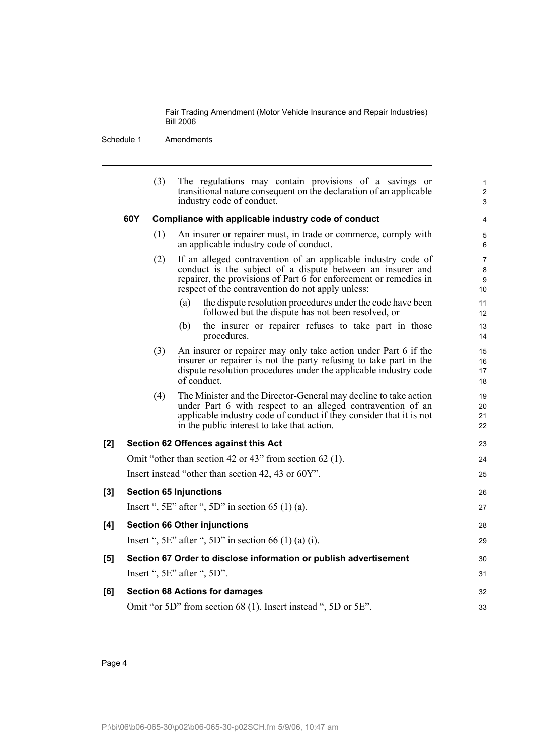Schedule 1 Amendments

|       |     | (3) | The regulations may contain provisions of a savings or<br>transitional nature consequent on the declaration of an applicable<br>industry code of conduct.                                                                                             | $\mathbf 1$<br>$\overline{2}$<br>3 |
|-------|-----|-----|-------------------------------------------------------------------------------------------------------------------------------------------------------------------------------------------------------------------------------------------------------|------------------------------------|
|       | 60Y |     | Compliance with applicable industry code of conduct                                                                                                                                                                                                   | 4                                  |
|       |     | (1) | An insurer or repairer must, in trade or commerce, comply with<br>an applicable industry code of conduct.                                                                                                                                             | 5<br>6                             |
|       |     | (2) | If an alleged contravention of an applicable industry code of<br>conduct is the subject of a dispute between an insurer and<br>repairer, the provisions of Part 6 for enforcement or remedies in<br>respect of the contravention do not apply unless: | $\overline{7}$<br>8<br>9<br>10     |
|       |     |     | the dispute resolution procedures under the code have been<br>(a)<br>followed but the dispute has not been resolved, or                                                                                                                               | 11<br>12 <sup>2</sup>              |
|       |     |     | the insurer or repairer refuses to take part in those<br>(b)<br>procedures.                                                                                                                                                                           | 13<br>14                           |
|       |     | (3) | An insurer or repairer may only take action under Part 6 if the<br>insurer or repairer is not the party refusing to take part in the<br>dispute resolution procedures under the applicable industry code<br>of conduct.                               | 15<br>16<br>17<br>18               |
|       |     | (4) | The Minister and the Director-General may decline to take action<br>under Part 6 with respect to an alleged contravention of an<br>applicable industry code of conduct if they consider that it is not<br>in the public interest to take that action. | 19<br>20<br>21<br>22               |
| $[2]$ |     |     | Section 62 Offences against this Act                                                                                                                                                                                                                  | 23                                 |
|       |     |     | Omit "other than section 42 or 43" from section 62 (1).                                                                                                                                                                                               | 24                                 |
|       |     |     | Insert instead "other than section 42, 43 or 60Y".                                                                                                                                                                                                    | 25                                 |
| [3]   |     |     | <b>Section 65 Injunctions</b>                                                                                                                                                                                                                         | 26                                 |
|       |     |     | Insert ", $5E$ " after ", $5D$ " in section 65 (1) (a).                                                                                                                                                                                               | 27                                 |
| [4]   |     |     | <b>Section 66 Other injunctions</b>                                                                                                                                                                                                                   | 28                                 |
|       |     |     | Insert ", $5E$ " after ", $5D$ " in section 66 (1) (a) (i).                                                                                                                                                                                           | 29                                 |
| [5]   |     |     | Section 67 Order to disclose information or publish advertisement                                                                                                                                                                                     | 30                                 |
|       |     |     | Insert ", 5E" after ", 5D".                                                                                                                                                                                                                           | 31                                 |
| [6]   |     |     | <b>Section 68 Actions for damages</b>                                                                                                                                                                                                                 | 32                                 |
|       |     |     | Omit "or 5D" from section 68 (1). Insert instead ", 5D or 5E".                                                                                                                                                                                        | 33                                 |
|       |     |     |                                                                                                                                                                                                                                                       |                                    |